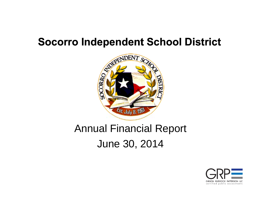

### Annual Financial Report June 30, 2014

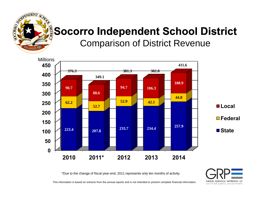

#### **Socorro Independent School District** Comparison of District Revenue



\*Due to the change of fiscal year-end, 2011 represents only ten months of activity.

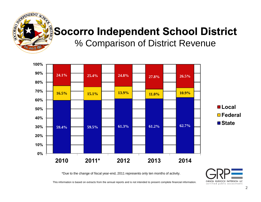

% Comparison of District Revenue



\*Due to the change of fiscal year-end, 2011 represents only ten months of activity.

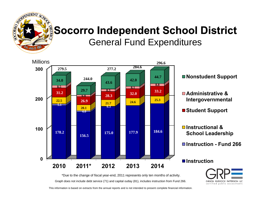

#### **Socorro Independent School District** General Fund Expenditures





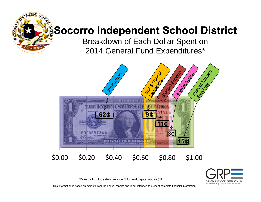

Breakdown of Each Dollar Spent on 2014 General Fund Expenditures\*





\*Does not include debt service (71) and capital outlay (81).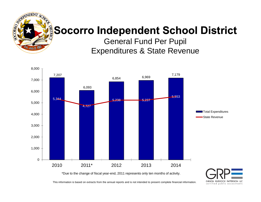

General Fund Per Pupil Expenditures & State Revenue



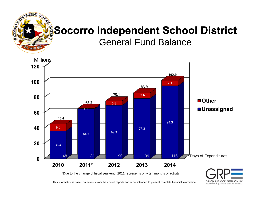

General Fund Balance



\*Due to the change of fiscal year-end, 2011 represents only ten months of activity.

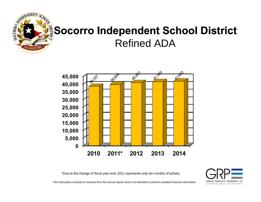

### **Socorro Independent School District** Refined ADA



\*Due to the change of fiscal year-end, 2011 represents only ten months of activity.

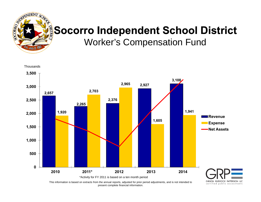

Worker's Compensation Fund



This information is based on extracts from the annual reports, adjusted for prior period adjustments, and is not intended to present complete financial information.

certified public accountants